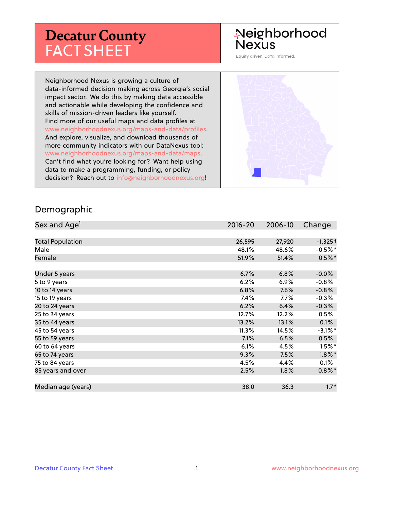# **Decatur County** FACT SHEET

# Neighborhood **Nexus**

Equity driven. Data informed.

Neighborhood Nexus is growing a culture of data-informed decision making across Georgia's social impact sector. We do this by making data accessible and actionable while developing the confidence and skills of mission-driven leaders like yourself. Find more of our useful maps and data profiles at www.neighborhoodnexus.org/maps-and-data/profiles. And explore, visualize, and download thousands of more community indicators with our DataNexus tool: www.neighborhoodnexus.org/maps-and-data/maps. Can't find what you're looking for? Want help using data to make a programming, funding, or policy decision? Reach out to [info@neighborhoodnexus.org!](mailto:info@neighborhoodnexus.org)



#### Demographic

| Sex and Age <sup>1</sup> | $2016 - 20$ | 2006-10 | Change     |
|--------------------------|-------------|---------|------------|
|                          |             |         |            |
| <b>Total Population</b>  | 26,595      | 27,920  | $-1,325+$  |
| Male                     | 48.1%       | 48.6%   | $-0.5%$ *  |
| Female                   | 51.9%       | 51.4%   | $0.5%$ *   |
|                          |             |         |            |
| Under 5 years            | 6.7%        | 6.8%    | $-0.0%$    |
| 5 to 9 years             | 6.2%        | 6.9%    | $-0.8%$    |
| 10 to 14 years           | 6.8%        | 7.6%    | $-0.8%$    |
| 15 to 19 years           | 7.4%        | $7.7\%$ | $-0.3%$    |
| 20 to 24 years           | 6.2%        | 6.4%    | $-0.3%$    |
| 25 to 34 years           | 12.7%       | 12.2%   | 0.5%       |
| 35 to 44 years           | 13.2%       | 13.1%   | 0.1%       |
| 45 to 54 years           | 11.3%       | 14.5%   | $-3.1\%$ * |
| 55 to 59 years           | 7.1%        | 6.5%    | 0.5%       |
| 60 to 64 years           | 6.1%        | 4.5%    | $1.5%$ *   |
| 65 to 74 years           | 9.3%        | 7.5%    | $1.8\%$ *  |
| 75 to 84 years           | 4.5%        | 4.4%    | 0.1%       |
| 85 years and over        | 2.5%        | $1.8\%$ | $0.8\%$ *  |
|                          |             |         |            |
| Median age (years)       | 38.0        | 36.3    | $1.7*$     |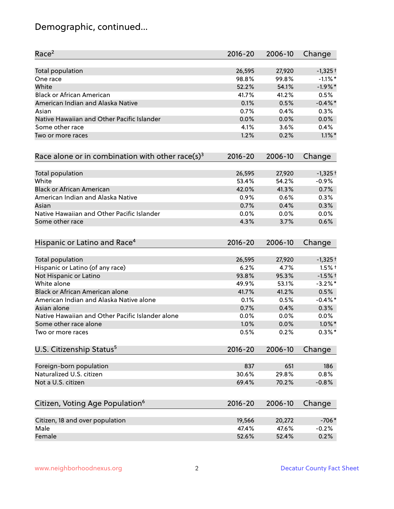# Demographic, continued...

| Race <sup>2</sup>                                   | $2016 - 20$ | 2006-10 | Change     |
|-----------------------------------------------------|-------------|---------|------------|
| <b>Total population</b>                             | 26,595      | 27,920  | $-1,325+$  |
| One race                                            | 98.8%       | 99.8%   | $-1.1\%$ * |
| White                                               | 52.2%       | 54.1%   | $-1.9%$ *  |
| <b>Black or African American</b>                    | 41.7%       | 41.2%   | 0.5%       |
| American Indian and Alaska Native                   | 0.1%        | 0.5%    | $-0.4\%$ * |
| Asian                                               | 0.7%        | 0.4%    | 0.3%       |
| Native Hawaiian and Other Pacific Islander          | 0.0%        | 0.0%    | 0.0%       |
| Some other race                                     | 4.1%        | 3.6%    | 0.4%       |
| Two or more races                                   | 1.2%        | 0.2%    | $1.1\%$ *  |
| Race alone or in combination with other race(s) $3$ | $2016 - 20$ | 2006-10 | Change     |
| Total population                                    | 26,595      | 27,920  | $-1,325+$  |
| White                                               | 53.4%       | 54.2%   | $-0.9%$    |
| <b>Black or African American</b>                    | 42.0%       | 41.3%   | 0.7%       |
| American Indian and Alaska Native                   | 0.9%        | 0.6%    | 0.3%       |
| Asian                                               | 0.7%        | 0.4%    | 0.3%       |
| Native Hawaiian and Other Pacific Islander          | 0.0%        | 0.0%    | 0.0%       |
| Some other race                                     | 4.3%        | 3.7%    | 0.6%       |
| Hispanic or Latino and Race <sup>4</sup>            | $2016 - 20$ | 2006-10 | Change     |
| Total population                                    | 26,595      | 27,920  | $-1,325+$  |
| Hispanic or Latino (of any race)                    | 6.2%        | 4.7%    | $1.5%$ †   |
| Not Hispanic or Latino                              | 93.8%       | 95.3%   | $-1.5%$ †  |
| White alone                                         | 49.9%       | 53.1%   | $-3.2\%$ * |
| Black or African American alone                     | 41.7%       | 41.2%   | 0.5%       |
| American Indian and Alaska Native alone             | 0.1%        | 0.5%    | $-0.4\%$ * |
| Asian alone                                         | 0.7%        | 0.4%    | 0.3%       |
| Native Hawaiian and Other Pacific Islander alone    | 0.0%        | 0.0%    | 0.0%       |
| Some other race alone                               | 1.0%        | 0.0%    | $1.0\%$ *  |
| Two or more races                                   | 0.5%        | 0.2%    | $0.3\%$ *  |
| U.S. Citizenship Status <sup>5</sup>                | $2016 - 20$ | 2006-10 | Change     |
| Foreign-born population                             | 837         | 651     | 186        |
| Naturalized U.S. citizen                            | 30.6%       | 29.8%   | 0.8%       |
| Not a U.S. citizen                                  | 69.4%       | 70.2%   | $-0.8%$    |
|                                                     |             |         |            |
| Citizen, Voting Age Population <sup>6</sup>         | $2016 - 20$ | 2006-10 | Change     |
| Citizen, 18 and over population                     | 19,566      | 20,272  | $-706*$    |
| Male                                                | 47.4%       | 47.6%   | $-0.2%$    |
| Female                                              | 52.6%       | 52.4%   | 0.2%       |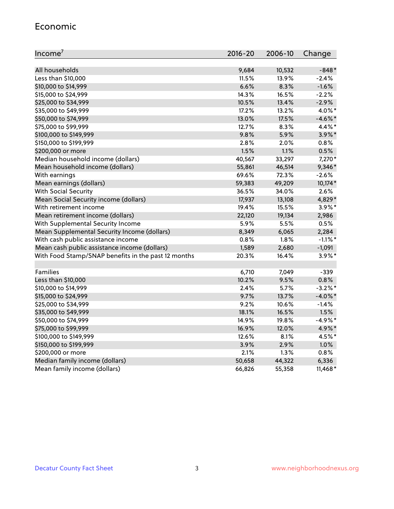#### Economic

| Income <sup>7</sup>                                 | 2016-20 | 2006-10 | Change     |
|-----------------------------------------------------|---------|---------|------------|
|                                                     |         |         |            |
| All households                                      | 9,684   | 10,532  | $-848*$    |
| Less than \$10,000                                  | 11.5%   | 13.9%   | $-2.4%$    |
| \$10,000 to \$14,999                                | 6.6%    | 8.3%    | $-1.6%$    |
| \$15,000 to \$24,999                                | 14.3%   | 16.5%   | $-2.2%$    |
| \$25,000 to \$34,999                                | 10.5%   | 13.4%   | $-2.9%$    |
| \$35,000 to \$49,999                                | 17.2%   | 13.2%   | 4.0%*      |
| \$50,000 to \$74,999                                | 13.0%   | 17.5%   | $-4.6\%$ * |
| \$75,000 to \$99,999                                | 12.7%   | 8.3%    | 4.4%*      |
| \$100,000 to \$149,999                              | 9.8%    | 5.9%    | $3.9\%$ *  |
| \$150,000 to \$199,999                              | 2.8%    | 2.0%    | 0.8%       |
| \$200,000 or more                                   | 1.5%    | 1.1%    | 0.5%       |
| Median household income (dollars)                   | 40,567  | 33,297  | 7,270*     |
| Mean household income (dollars)                     | 55,861  | 46,514  | 9,346*     |
| With earnings                                       | 69.6%   | 72.3%   | $-2.6%$    |
| Mean earnings (dollars)                             | 59,383  | 49,209  | 10,174*    |
| <b>With Social Security</b>                         | 36.5%   | 34.0%   | 2.6%       |
| Mean Social Security income (dollars)               | 17,937  | 13,108  | 4,829*     |
| With retirement income                              | 19.4%   | 15.5%   | $3.9\%$ *  |
| Mean retirement income (dollars)                    | 22,120  | 19,134  | 2,986      |
| With Supplemental Security Income                   | 5.9%    | 5.5%    | 0.5%       |
| Mean Supplemental Security Income (dollars)         | 8,349   | 6,065   | 2,284      |
| With cash public assistance income                  | 0.8%    | 1.8%    | $-1.1\%$ * |
| Mean cash public assistance income (dollars)        | 1,589   | 2,680   | $-1,091$   |
| With Food Stamp/SNAP benefits in the past 12 months | 20.3%   | 16.4%   | $3.9\%$ *  |
|                                                     |         |         |            |
| Families                                            | 6,710   | 7,049   | $-339$     |
| Less than \$10,000                                  | 10.2%   | 9.5%    | 0.8%       |
| \$10,000 to \$14,999                                | 2.4%    | 5.7%    | $-3.2%$ *  |
| \$15,000 to \$24,999                                | 9.7%    | 13.7%   | $-4.0\%$ * |
| \$25,000 to \$34,999                                | 9.2%    | 10.6%   | $-1.4%$    |
| \$35,000 to \$49,999                                | 18.1%   | 16.5%   | 1.5%       |
| \$50,000 to \$74,999                                | 14.9%   | 19.8%   | $-4.9%$ *  |
| \$75,000 to \$99,999                                | 16.9%   | 12.0%   | 4.9%*      |
| \$100,000 to \$149,999                              | 12.6%   | 8.1%    | 4.5%*      |
| \$150,000 to \$199,999                              | 3.9%    | 2.9%    | 1.0%       |
| \$200,000 or more                                   | 2.1%    | 1.3%    | 0.8%       |
| Median family income (dollars)                      | 50,658  | 44,322  | 6,336      |
| Mean family income (dollars)                        | 66,826  | 55,358  | $11,468*$  |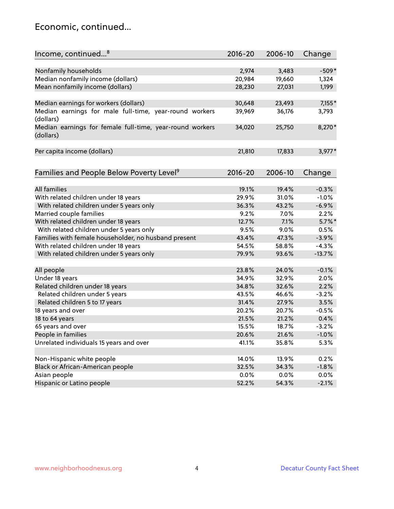### Economic, continued...

| Income, continued <sup>8</sup>                                        | $2016 - 20$ | 2006-10 | Change    |
|-----------------------------------------------------------------------|-------------|---------|-----------|
|                                                                       |             |         |           |
| Nonfamily households                                                  | 2,974       | 3,483   | $-509*$   |
| Median nonfamily income (dollars)                                     | 20,984      | 19,660  | 1,324     |
| Mean nonfamily income (dollars)                                       | 28,230      | 27,031  | 1,199     |
| Median earnings for workers (dollars)                                 | 30,648      | 23,493  | $7,155*$  |
| Median earnings for male full-time, year-round workers                | 39,969      | 36,176  | 3,793     |
| (dollars)                                                             |             |         |           |
| Median earnings for female full-time, year-round workers<br>(dollars) | 34,020      | 25,750  | 8,270*    |
| Per capita income (dollars)                                           | 21,810      | 17,833  | $3,977*$  |
|                                                                       |             |         |           |
| Families and People Below Poverty Level <sup>9</sup>                  | $2016 - 20$ | 2006-10 | Change    |
| <b>All families</b>                                                   | 19.1%       | 19.4%   | $-0.3%$   |
|                                                                       |             |         |           |
| With related children under 18 years                                  | 29.9%       | 31.0%   | $-1.0%$   |
| With related children under 5 years only                              | 36.3%       | 43.2%   | $-6.9%$   |
| Married couple families                                               | 9.2%        | 7.0%    | 2.2%      |
| With related children under 18 years                                  | 12.7%       | 7.1%    | $5.7\%$ * |
| With related children under 5 years only                              | 9.5%        | 9.0%    | 0.5%      |
| Families with female householder, no husband present                  | 43.4%       | 47.3%   | $-3.9%$   |
| With related children under 18 years                                  | 54.5%       | 58.8%   | $-4.3%$   |
| With related children under 5 years only                              | 79.9%       | 93.6%   | $-13.7%$  |
| All people                                                            | 23.8%       | 24.0%   | $-0.1%$   |
| Under 18 years                                                        | 34.9%       | 32.9%   | 2.0%      |
| Related children under 18 years                                       | 34.8%       | 32.6%   | 2.2%      |
| Related children under 5 years                                        | 43.5%       | 46.6%   | $-3.2%$   |
| Related children 5 to 17 years                                        | 31.4%       | 27.9%   | 3.5%      |
| 18 years and over                                                     | 20.2%       | 20.7%   | $-0.5%$   |
| 18 to 64 years                                                        | 21.5%       | 21.2%   | 0.4%      |
| 65 years and over                                                     | 15.5%       | 18.7%   | $-3.2%$   |
| People in families                                                    | 20.6%       | 21.6%   | $-1.0%$   |
| Unrelated individuals 15 years and over                               | 41.1%       | 35.8%   | 5.3%      |
|                                                                       |             |         |           |
| Non-Hispanic white people                                             | 14.0%       | 13.9%   | 0.2%      |
| Black or African-American people                                      | 32.5%       | 34.3%   | $-1.8%$   |
| Asian people                                                          | $0.0\%$     | $0.0\%$ | 0.0%      |
| Hispanic or Latino people                                             | 52.2%       | 54.3%   | $-2.1%$   |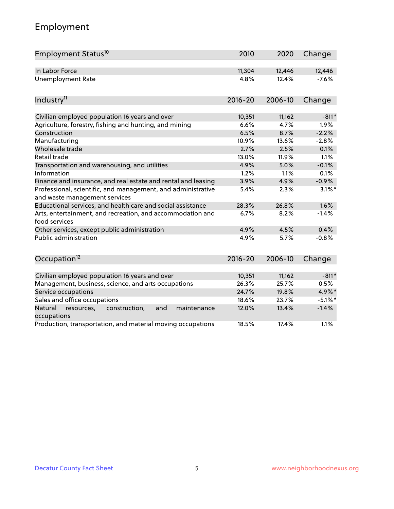# Employment

| Employment Status <sup>10</sup>                                                               | 2010        | 2020    | Change     |
|-----------------------------------------------------------------------------------------------|-------------|---------|------------|
| In Labor Force                                                                                | 11,304      | 12,446  | 12,446     |
| <b>Unemployment Rate</b>                                                                      | 4.8%        | 12.4%   | $-7.6%$    |
| Industry <sup>11</sup>                                                                        | $2016 - 20$ | 2006-10 | Change     |
| Civilian employed population 16 years and over                                                | 10,351      | 11,162  | $-811*$    |
| Agriculture, forestry, fishing and hunting, and mining                                        | 6.6%        | 4.7%    | 1.9%       |
| Construction                                                                                  | 6.5%        | 8.7%    | $-2.2%$    |
| Manufacturing                                                                                 | 10.9%       | 13.6%   | $-2.8%$    |
| Wholesale trade                                                                               | 2.7%        | 2.5%    | 0.1%       |
| Retail trade                                                                                  | 13.0%       | 11.9%   | 1.1%       |
| Transportation and warehousing, and utilities                                                 | 4.9%        | 5.0%    | $-0.1%$    |
| Information                                                                                   | 1.2%        | 1.1%    | 0.1%       |
| Finance and insurance, and real estate and rental and leasing                                 | 3.9%        | 4.9%    | $-0.9%$    |
| Professional, scientific, and management, and administrative<br>and waste management services | 5.4%        | 2.3%    | $3.1\%$ *  |
| Educational services, and health care and social assistance                                   | 28.3%       | 26.8%   | 1.6%       |
| Arts, entertainment, and recreation, and accommodation and<br>food services                   | 6.7%        | 8.2%    | $-1.4%$    |
| Other services, except public administration                                                  | 4.9%        | 4.5%    | 0.4%       |
| Public administration                                                                         | 4.9%        | 5.7%    | $-0.8%$    |
| Occupation <sup>12</sup>                                                                      | $2016 - 20$ | 2006-10 | Change     |
|                                                                                               |             |         |            |
| Civilian employed population 16 years and over                                                | 10,351      | 11,162  | $-811*$    |
| Management, business, science, and arts occupations                                           | 26.3%       | 25.7%   | 0.5%       |
| Service occupations                                                                           | 24.7%       | 19.8%   | 4.9%*      |
| Sales and office occupations                                                                  | 18.6%       | 23.7%   | $-5.1\%$ * |
| Natural<br>construction,<br>maintenance<br>resources,<br>and<br>occupations                   | 12.0%       | 13.4%   | $-1.4%$    |
| Production, transportation, and material moving occupations                                   | 18.5%       | 17.4%   | 1.1%       |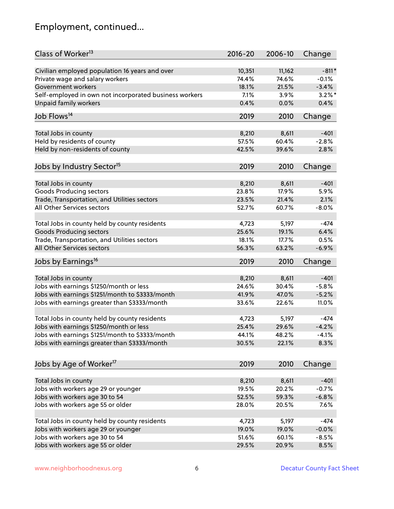# Employment, continued...

| Class of Worker <sup>13</sup>                          | $2016 - 20$    | 2006-10 | Change             |
|--------------------------------------------------------|----------------|---------|--------------------|
| Civilian employed population 16 years and over         | 10,351         | 11,162  | $-811*$            |
| Private wage and salary workers                        | 74.4%          | 74.6%   | $-0.1%$            |
| Government workers                                     | 18.1%          | 21.5%   | $-3.4%$            |
| Self-employed in own not incorporated business workers | 7.1%           | 3.9%    | $3.2\%$ *          |
| <b>Unpaid family workers</b>                           | 0.4%           | 0.0%    | 0.4%               |
| Job Flows <sup>14</sup>                                | 2019           | 2010    | Change             |
|                                                        |                |         |                    |
| Total Jobs in county                                   | 8,210          | 8,611   | $-401$             |
| Held by residents of county                            | 57.5%          | 60.4%   | $-2.8%$            |
| Held by non-residents of county                        | 42.5%          | 39.6%   | 2.8%               |
| Jobs by Industry Sector <sup>15</sup>                  | 2019           | 2010    | Change             |
| Total Jobs in county                                   | 8,210          | 8,611   | $-401$             |
| <b>Goods Producing sectors</b>                         | 23.8%          | 17.9%   | 5.9%               |
| Trade, Transportation, and Utilities sectors           | 23.5%          | 21.4%   | 2.1%               |
| All Other Services sectors                             | 52.7%          | 60.7%   | $-8.0%$            |
|                                                        |                |         |                    |
| Total Jobs in county held by county residents          | 4,723          | 5,197   | $-474$             |
| <b>Goods Producing sectors</b>                         | 25.6%          | 19.1%   | 6.4%               |
| Trade, Transportation, and Utilities sectors           | 18.1%          | 17.7%   | 0.5%               |
| All Other Services sectors                             | 56.3%          | 63.2%   | $-6.9%$            |
| Jobs by Earnings <sup>16</sup>                         | 2019           | 2010    | Change             |
|                                                        |                |         |                    |
| Total Jobs in county                                   | 8,210<br>24.6% | 8,611   | $-401$             |
| Jobs with earnings \$1250/month or less                |                | 30.4%   | $-5.8%$<br>$-5.2%$ |
| Jobs with earnings \$1251/month to \$3333/month        | 41.9%          | 47.0%   |                    |
| Jobs with earnings greater than \$3333/month           | 33.6%          | 22.6%   | 11.0%              |
| Total Jobs in county held by county residents          | 4,723          | 5,197   | -474               |
| Jobs with earnings \$1250/month or less                | 25.4%          | 29.6%   | $-4.2%$            |
| Jobs with earnings \$1251/month to \$3333/month        | 44.1%          | 48.2%   | $-4.1\%$           |
| Jobs with earnings greater than \$3333/month           | 30.5%          | 22.1%   | 8.3%               |
| Jobs by Age of Worker <sup>17</sup>                    | 2019           | 2010    | Change             |
|                                                        |                |         |                    |
| Total Jobs in county                                   | 8,210          | 8,611   | $-401$             |
| Jobs with workers age 29 or younger                    | 19.5%          | 20.2%   | $-0.7%$            |
| Jobs with workers age 30 to 54                         | 52.5%          | 59.3%   | $-6.8%$            |
| Jobs with workers age 55 or older                      | 28.0%          | 20.5%   | 7.6%               |
|                                                        |                |         |                    |
| Total Jobs in county held by county residents          | 4,723          | 5,197   | $-474$             |
| Jobs with workers age 29 or younger                    | 19.0%          | 19.0%   | $-0.0%$            |
| Jobs with workers age 30 to 54                         | 51.6%          | 60.1%   | $-8.5%$            |
| Jobs with workers age 55 or older                      | 29.5%          | 20.9%   | 8.5%               |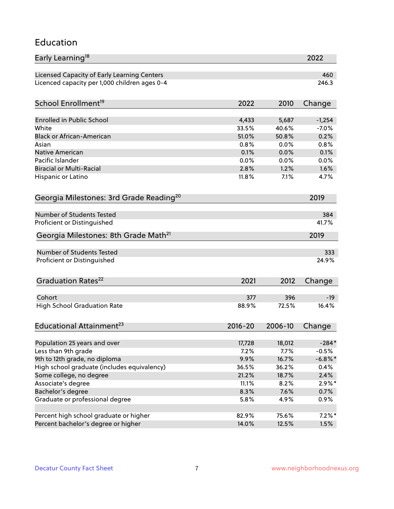#### Education

| Early Learning <sup>18</sup>                        |             |         | 2022       |
|-----------------------------------------------------|-------------|---------|------------|
| Licensed Capacity of Early Learning Centers         |             |         | 460        |
| Licenced capacity per 1,000 children ages 0-4       |             |         | 246.3      |
| School Enrollment <sup>19</sup>                     | 2022        | 2010    | Change     |
|                                                     |             |         |            |
| <b>Enrolled in Public School</b>                    | 4,433       | 5,687   | $-1,254$   |
| White                                               | 33.5%       | 40.6%   | $-7.0%$    |
| <b>Black or African-American</b>                    | 51.0%       | 50.8%   | 0.2%       |
| Asian                                               | 0.8%        | 0.0%    | 0.8%       |
| Native American                                     | 0.1%        | 0.0%    | 0.1%       |
| Pacific Islander                                    | 0.0%        | 0.0%    | 0.0%       |
| <b>Biracial or Multi-Racial</b>                     | 2.8%        | 1.2%    | 1.6%       |
| Hispanic or Latino                                  | 11.8%       | 7.1%    | 4.7%       |
| Georgia Milestones: 3rd Grade Reading <sup>20</sup> |             |         | 2019       |
|                                                     |             |         |            |
| <b>Number of Students Tested</b>                    |             |         | 384        |
| Proficient or Distinguished                         |             |         | 41.7%      |
| Georgia Milestones: 8th Grade Math <sup>21</sup>    |             |         | 2019       |
| Number of Students Tested                           |             |         | 333        |
| Proficient or Distinguished                         |             |         | 24.9%      |
|                                                     |             |         |            |
| Graduation Rates <sup>22</sup>                      | 2021        | 2012    | Change     |
|                                                     |             |         |            |
| Cohort                                              | 377         | 396     | $-19$      |
| <b>High School Graduation Rate</b>                  | 88.9%       | 72.5%   | 16.4%      |
| Educational Attainment <sup>23</sup>                | $2016 - 20$ | 2006-10 | Change     |
|                                                     |             |         |            |
| Population 25 years and over                        | 17,728      | 18,012  | $-284*$    |
| Less than 9th grade                                 | 7.2%        | 7.7%    | $-0.5%$    |
| 9th to 12th grade, no diploma                       | 9.9%        | 16.7%   | $-6.8\%$ * |
| High school graduate (includes equivalency)         | 36.5%       | 36.2%   | 0.4%       |
| Some college, no degree                             | 21.2%       | 18.7%   | 2.4%       |
| Associate's degree                                  | 11.1%       | 8.2%    | $2.9\%*$   |
| Bachelor's degree                                   | 8.3%        | 7.6%    | 0.7%       |
| Graduate or professional degree                     | 5.8%        | 4.9%    | 0.9%       |
| Percent high school graduate or higher              | 82.9%       | 75.6%   | $7.2\%$ *  |
| Percent bachelor's degree or higher                 | 14.0%       | 12.5%   | 1.5%       |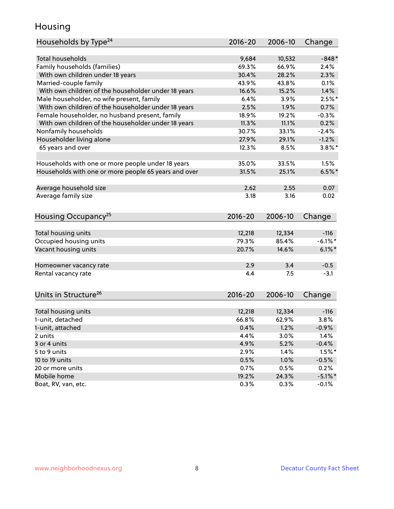### Housing

| Households by Type <sup>24</sup>                     | 2016-20     | 2006-10 | Change     |
|------------------------------------------------------|-------------|---------|------------|
|                                                      |             |         |            |
| Total households                                     | 9,684       | 10,532  | $-848*$    |
| Family households (families)                         | 69.3%       | 66.9%   | 2.4%       |
| With own children under 18 years                     | 30.4%       | 28.2%   | 2.3%       |
| Married-couple family                                | 43.9%       | 43.8%   | 0.1%       |
| With own children of the householder under 18 years  | 16.6%       | 15.2%   | 1.4%       |
| Male householder, no wife present, family            | 6.4%        | 3.9%    | $2.5%$ *   |
| With own children of the householder under 18 years  | 2.5%        | 1.9%    | 0.7%       |
| Female householder, no husband present, family       | 18.9%       | 19.2%   | $-0.3%$    |
| With own children of the householder under 18 years  | 11.3%       | 11.1%   | 0.2%       |
| Nonfamily households                                 | 30.7%       | 33.1%   | $-2.4%$    |
| Householder living alone                             | 27.9%       | 29.1%   | $-1.2%$    |
| 65 years and over                                    | 12.3%       | 8.5%    | $3.8\%$ *  |
|                                                      |             |         |            |
| Households with one or more people under 18 years    | 35.0%       | 33.5%   | 1.5%       |
| Households with one or more people 65 years and over | 31.5%       | 25.1%   | $6.5%$ *   |
|                                                      |             |         |            |
| Average household size                               | 2.62        | 2.55    | 0.07       |
| Average family size                                  | 3.18        | 3.16    | 0.02       |
|                                                      |             |         |            |
| Housing Occupancy <sup>25</sup>                      | $2016 - 20$ | 2006-10 | Change     |
|                                                      |             |         |            |
| Total housing units                                  | 12,218      | 12,334  | $-116$     |
| Occupied housing units                               | 79.3%       | 85.4%   | $-6.1\%$ * |
| Vacant housing units                                 | 20.7%       | 14.6%   | $6.1\%$ *  |
|                                                      |             |         |            |
| Homeowner vacancy rate                               | 2.9         | 3.4     | $-0.5$     |
| Rental vacancy rate                                  | 4.4         | 7.5     | $-3.1$     |
|                                                      |             |         |            |
| Units in Structure <sup>26</sup>                     | $2016 - 20$ | 2006-10 | Change     |
|                                                      |             |         |            |
| Total housing units                                  | 12,218      | 12,334  | $-116$     |
| 1-unit, detached                                     | 66.8%       | 62.9%   | 3.8%       |
| 1-unit, attached                                     | 0.4%        | 1.2%    | $-0.9%$    |
| 2 units                                              | 4.4%        | 3.0%    | 1.4%       |
| 3 or 4 units                                         | 4.9%        | 5.2%    | $-0.4%$    |
| 5 to 9 units                                         | 2.9%        | 1.4%    | $1.5%$ *   |
| 10 to 19 units                                       | 0.5%        | 1.0%    | $-0.5%$    |
| 20 or more units                                     | 0.7%        | 0.5%    | 0.2%       |
| Mobile home                                          | 19.2%       | 24.3%   | $-5.1\%$ * |
| Boat, RV, van, etc.                                  | 0.3%        | 0.3%    |            |
|                                                      |             |         | $-0.1%$    |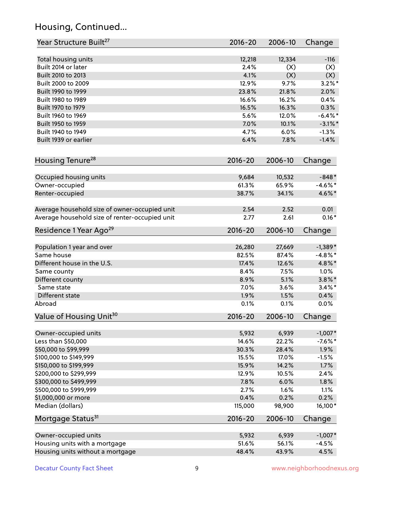# Housing, Continued...

| Year Structure Built <sup>27</sup>             | 2016-20        | 2006-10         | Change                |
|------------------------------------------------|----------------|-----------------|-----------------------|
| Total housing units                            | 12,218         | 12,334          | $-116$                |
| Built 2014 or later                            | 2.4%           | (X)             | (X)                   |
| Built 2010 to 2013                             | 4.1%           | (X)             | (X)                   |
| Built 2000 to 2009                             | 12.9%          | 9.7%            | $3.2\%$ *             |
| Built 1990 to 1999                             | 23.8%          | 21.8%           | 2.0%                  |
| Built 1980 to 1989                             | 16.6%          | 16.2%           | 0.4%                  |
| Built 1970 to 1979                             | 16.5%          | 16.3%           | 0.3%                  |
| Built 1960 to 1969                             | 5.6%           | 12.0%           | $-6.4\%$ *            |
| Built 1950 to 1959                             | 7.0%           | 10.1%           | $-3.1\%$ *            |
| Built 1940 to 1949                             | 4.7%           | 6.0%            | $-1.3%$               |
| Built 1939 or earlier                          | 6.4%           | 7.8%            | $-1.4%$               |
| Housing Tenure <sup>28</sup>                   | $2016 - 20$    | 2006-10         | Change                |
|                                                |                |                 |                       |
| Occupied housing units                         | 9,684<br>61.3% | 10,532<br>65.9% | $-848*$<br>$-4.6\%$ * |
| Owner-occupied                                 | 38.7%          | 34.1%           | 4.6%*                 |
| Renter-occupied                                |                |                 |                       |
| Average household size of owner-occupied unit  | 2.54           | 2.52            | 0.01                  |
| Average household size of renter-occupied unit | 2.77           | 2.61            | $0.16*$               |
| Residence 1 Year Ago <sup>29</sup>             | 2016-20        | 2006-10         | Change                |
| Population 1 year and over                     | 26,280         | 27,669          | $-1,389*$             |
| Same house                                     | 82.5%          | 87.4%           | $-4.8\%$ *            |
| Different house in the U.S.                    | 17.4%          | 12.6%           | 4.8%*                 |
| Same county                                    | 8.4%           | 7.5%            | 1.0%                  |
| Different county                               | 8.9%           | 5.1%            | $3.8\%$ *             |
| Same state                                     | 7.0%           | 3.6%            | $3.4\%$ *             |
| Different state                                | 1.9%           | 1.5%            | 0.4%                  |
| Abroad                                         | 0.1%           | 0.1%            | 0.0%                  |
| Value of Housing Unit <sup>30</sup>            | $2016 - 20$    | 2006-10         | Change                |
|                                                |                |                 |                       |
| Owner-occupied units                           | 5,932          | 6,939           | $-1,007*$             |
| Less than \$50,000                             | 14.6%          | 22.2%           | $-7.6%$ *             |
| \$50,000 to \$99,999                           | 30.3%          | 28.4%           | 1.9%                  |
| \$100,000 to \$149,999                         | 15.5%          | 17.0%           | $-1.5%$               |
| \$150,000 to \$199,999                         | 15.9%          | 14.2%           | 1.7%                  |
| \$200,000 to \$299,999                         | 12.9%          | 10.5%           | 2.4%                  |
| \$300,000 to \$499,999                         | 7.8%           | 6.0%            | 1.8%                  |
| \$500,000 to \$999,999                         | 2.7%           | 1.6%            | 1.1%                  |
| \$1,000,000 or more                            | 0.4%           | 0.2%            | 0.2%                  |
| Median (dollars)                               | 115,000        | 98,900          | 16,100*               |
| Mortgage Status <sup>31</sup>                  | $2016 - 20$    | 2006-10         | Change                |
| Owner-occupied units                           | 5,932          | 6,939           | $-1,007*$             |
| Housing units with a mortgage                  | 51.6%          | 56.1%           | $-4.5%$               |
| Housing units without a mortgage               | 48.4%          | 43.9%           | 4.5%                  |
|                                                |                |                 |                       |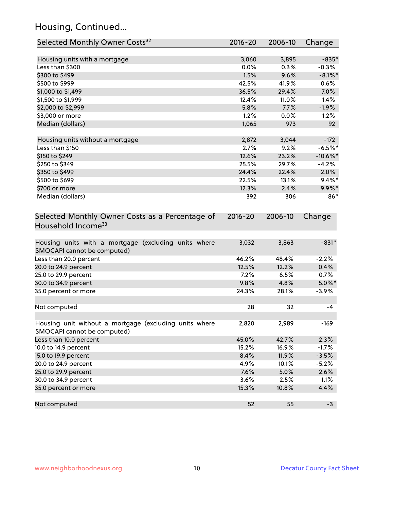# Housing, Continued...

| Selected Monthly Owner Costs <sup>32</sup>                                            | $2016 - 20$ | 2006-10 | Change      |
|---------------------------------------------------------------------------------------|-------------|---------|-------------|
| Housing units with a mortgage                                                         | 3,060       | 3,895   | $-835*$     |
| Less than \$300                                                                       | 0.0%        | 0.3%    | $-0.3%$     |
| \$300 to \$499                                                                        | 1.5%        | 9.6%    | $-8.1\%$ *  |
| \$500 to \$999                                                                        | 42.5%       | 41.9%   | 0.6%        |
| \$1,000 to \$1,499                                                                    | 36.5%       | 29.4%   | 7.0%        |
| \$1,500 to \$1,999                                                                    | 12.4%       | 11.0%   | 1.4%        |
| \$2,000 to \$2,999                                                                    | 5.8%        | 7.7%    | $-1.9%$     |
| \$3,000 or more                                                                       | 1.2%        | 0.0%    | 1.2%        |
| Median (dollars)                                                                      | 1,065       | 973     | 92          |
| Housing units without a mortgage                                                      | 2,872       | 3,044   | $-172$      |
| Less than \$150                                                                       | 2.7%        | 9.2%    | $-6.5%$ *   |
| \$150 to \$249                                                                        | 12.6%       | 23.2%   | $-10.6\%$ * |
| \$250 to \$349                                                                        | 25.5%       | 29.7%   | $-4.2%$     |
| \$350 to \$499                                                                        | 24.4%       | 22.4%   | 2.0%        |
| \$500 to \$699                                                                        | 22.5%       | 13.1%   | $9.4\%$ *   |
| \$700 or more                                                                         | 12.3%       | 2.4%    | 9.9%*       |
| Median (dollars)                                                                      | 392         | 306     | 86*         |
| Selected Monthly Owner Costs as a Percentage of<br>Household Income <sup>33</sup>     | $2016 - 20$ | 2006-10 | Change      |
| Housing units with a mortgage (excluding units where<br>SMOCAPI cannot be computed)   | 3,032       | 3,863   | $-831*$     |
| Less than 20.0 percent                                                                | 46.2%       | 48.4%   | $-2.2%$     |
| 20.0 to 24.9 percent                                                                  | 12.5%       | 12.2%   | 0.4%        |
| 25.0 to 29.9 percent                                                                  | 7.2%        | 6.5%    | 0.7%        |
| 30.0 to 34.9 percent                                                                  | 9.8%        | 4.8%    | $5.0\%$ *   |
| 35.0 percent or more                                                                  | 24.3%       | 28.1%   | $-3.9%$     |
| Not computed                                                                          | 28          | 32      | $-4$        |
| Housing unit without a mortgage (excluding units where<br>SMOCAPI cannot be computed) | 2,820       | 2,989   | $-169$      |
| Less than 10.0 percent                                                                | 45.0%       | 42.7%   | 2.3%        |
| 10.0 to 14.9 percent                                                                  | 15.2%       | 16.9%   | $-1.7%$     |
| 15.0 to 19.9 percent                                                                  | 8.4%        | 11.9%   | $-3.5%$     |
| 20.0 to 24.9 percent                                                                  | 4.9%        | 10.1%   | $-5.2%$     |
| 25.0 to 29.9 percent                                                                  | 7.6%        | 5.0%    | 2.6%        |
| 30.0 to 34.9 percent                                                                  | 3.6%        | 2.5%    | 1.1%        |
| 35.0 percent or more                                                                  | 15.3%       | 10.8%   | 4.4%        |
| Not computed                                                                          | 52          | 55      | $-3$        |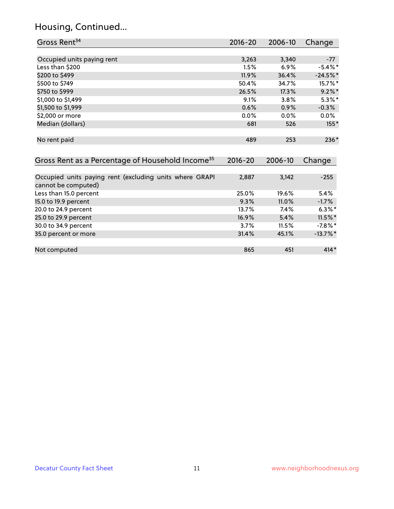# Housing, Continued...

| Gross Rent <sup>34</sup>                                                       | 2016-20     | 2006-10 | Change      |
|--------------------------------------------------------------------------------|-------------|---------|-------------|
|                                                                                |             |         |             |
| Occupied units paying rent                                                     | 3,263       | 3,340   | $-77$       |
| Less than \$200                                                                | 1.5%        | 6.9%    | $-5.4\%$ *  |
| \$200 to \$499                                                                 | 11.9%       | 36.4%   | $-24.5%$ *  |
| \$500 to \$749                                                                 | 50.4%       | 34.7%   | 15.7%*      |
| \$750 to \$999                                                                 | 26.5%       | 17.3%   | $9.2\%$ *   |
| \$1,000 to \$1,499                                                             | 9.1%        | 3.8%    | $5.3\%$ *   |
| \$1,500 to \$1,999                                                             | 0.6%        | 0.9%    | $-0.3%$     |
| \$2,000 or more                                                                | 0.0%        | 0.0%    | $0.0\%$     |
| Median (dollars)                                                               | 681         | 526     | $155*$      |
| No rent paid                                                                   | 489         | 253     | $236*$      |
| Gross Rent as a Percentage of Household Income <sup>35</sup>                   | $2016 - 20$ | 2006-10 | Change      |
| Occupied units paying rent (excluding units where GRAPI<br>cannot be computed) | 2,887       | 3,142   | $-255$      |
| Less than 15.0 percent                                                         | 25.0%       | 19.6%   | 5.4%        |
| 15.0 to 19.9 percent                                                           | 9.3%        | 11.0%   | $-1.7%$     |
| 20.0 to 24.9 percent                                                           | 13.7%       | 7.4%    | $6.3\%$ *   |
| 25.0 to 29.9 percent                                                           | 16.9%       | 5.4%    | $11.5\%$ *  |
| 30.0 to 34.9 percent                                                           | 3.7%        | 11.5%   | $-7.8\%$ *  |
| 35.0 percent or more                                                           | 31.4%       | 45.1%   | $-13.7\%$ * |
| Not computed                                                                   | 865         | 451     | $414*$      |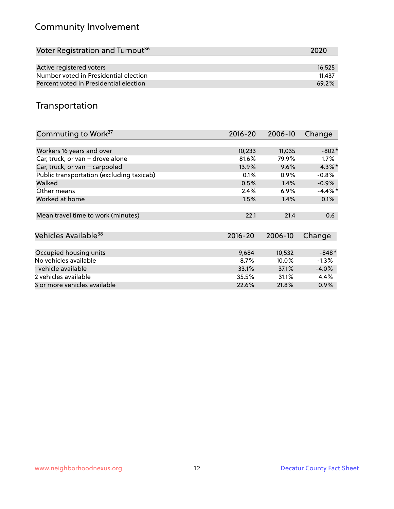# Community Involvement

| Voter Registration and Turnout <sup>36</sup> | 2020   |
|----------------------------------------------|--------|
|                                              |        |
| Active registered voters                     | 16,525 |
| Number voted in Presidential election        | 11.437 |
| Percent voted in Presidential election       | 69.2%  |

# Transportation

| Commuting to Work <sup>37</sup>           | 2016-20     | 2006-10 | Change     |
|-------------------------------------------|-------------|---------|------------|
|                                           |             |         |            |
| Workers 16 years and over                 | 10,233      | 11,035  | $-802*$    |
| Car, truck, or van - drove alone          | 81.6%       | 79.9%   | $1.7\%$    |
| Car, truck, or van - carpooled            | 13.9%       | 9.6%    | $4.3\%$ *  |
| Public transportation (excluding taxicab) | 0.1%        | $0.9\%$ | $-0.8%$    |
| Walked                                    | 0.5%        | 1.4%    | $-0.9%$    |
| Other means                               | 2.4%        | $6.9\%$ | $-4.4\%$ * |
| Worked at home                            | 1.5%        | 1.4%    | 0.1%       |
|                                           |             |         |            |
| Mean travel time to work (minutes)        | 22.1        | 21.4    | 0.6        |
|                                           |             |         |            |
| Vehicles Available <sup>38</sup>          | $2016 - 20$ | 2006-10 | Change     |
|                                           |             |         |            |
| Occupied housing units                    | 9,684       | 10,532  | $-848*$    |
| No vehicles available                     | 8.7%        | 10.0%   | $-1.3%$    |
| 1 vehicle available                       | 33.1%       | 37.1%   | $-4.0%$    |
| 2 vehicles available                      | 35.5%       | 31.1%   | 4.4%       |
| 3 or more vehicles available              | 22.6%       | 21.8%   | $0.9\%$    |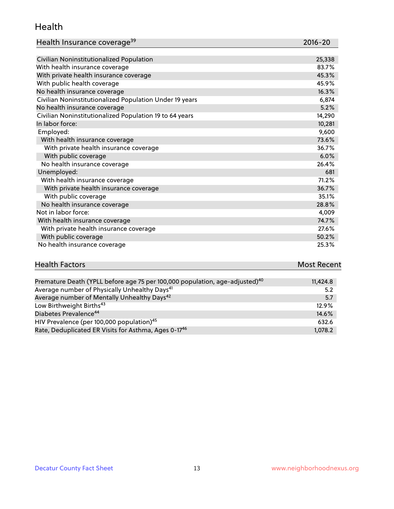#### Health

| Health Insurance coverage <sup>39</sup> | 2016-20 |
|-----------------------------------------|---------|
|-----------------------------------------|---------|

| Civilian Noninstitutionalized Population                | 25,338 |
|---------------------------------------------------------|--------|
| With health insurance coverage                          | 83.7%  |
| With private health insurance coverage                  | 45.3%  |
| With public health coverage                             | 45.9%  |
| No health insurance coverage                            | 16.3%  |
| Civilian Noninstitutionalized Population Under 19 years | 6,874  |
| No health insurance coverage                            | 5.2%   |
| Civilian Noninstitutionalized Population 19 to 64 years | 14,290 |
| In labor force:                                         | 10,281 |
| Employed:                                               | 9,600  |
| With health insurance coverage                          | 73.6%  |
| With private health insurance coverage                  | 36.7%  |
| With public coverage                                    | 6.0%   |
| No health insurance coverage                            | 26.4%  |
| Unemployed:                                             | 681    |
| With health insurance coverage                          | 71.2%  |
| With private health insurance coverage                  | 36.7%  |
| With public coverage                                    | 35.1%  |
| No health insurance coverage                            | 28.8%  |
| Not in labor force:                                     | 4,009  |
| With health insurance coverage                          | 74.7%  |
| With private health insurance coverage                  | 27.6%  |
| With public coverage                                    | 50.2%  |
| No health insurance coverage                            | 25.3%  |

#### **Health Factors Most Recent** Premature Death (YPLL before age 75 per 100,000 population, age-adjusted)<sup>40</sup> 11,424.8

| riemature Death (True before age 75 per 100,000 population, age-aujusteu) | 11.44.0 |
|---------------------------------------------------------------------------|---------|
| Average number of Physically Unhealthy Days <sup>41</sup>                 | 5.2     |
| Average number of Mentally Unhealthy Days <sup>42</sup>                   | 5.7     |
| Low Birthweight Births <sup>43</sup>                                      | 12.9%   |
| Diabetes Prevalence <sup>44</sup>                                         | 14.6%   |
| HIV Prevalence (per 100,000 population) <sup>45</sup>                     | 632.6   |
| Rate, Deduplicated ER Visits for Asthma, Ages 0-17 <sup>46</sup>          | 1.078.2 |